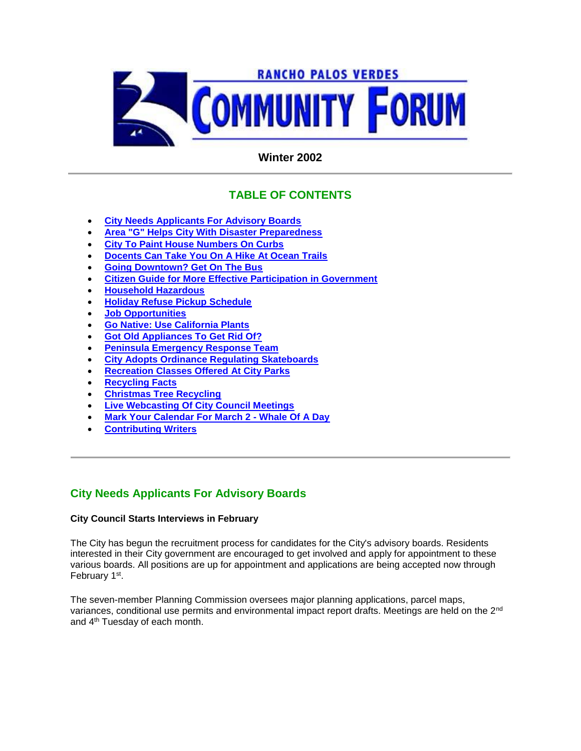

# **Winter 2002**

# **TABLE OF CONTENTS**

- **City Needs Applicants For Advisory Boards**
- **Area "G" Helps City With Disaster Preparedness**
- **City To Paint House Numbers On Curbs**
- **Docents Can Take You On A Hike At Ocean Trails**
- **Going Downtown? Get On The Bus**
- **Citizen Guide for More Effective Participation in Government**
- **Household Hazardous**
- **Holiday Refuse Pickup Schedule**
- **Job Opportunities**
- **Go Native: Use California Plants**
- **Got Old Appliances To Get Rid Of?**
- **Peninsula Emergency Response Team**
- **City Adopts Ordinance Regulating Skateboards**
- **Recreation Classes Offered At City Parks**
- **Recycling Facts**
- **Christmas Tree Recycling**
- **Live Webcasting Of City Council Meetings**
- **Mark Your Calendar For March 2 - Whale Of A Day**
- **Contributing Writers**

# **City Needs Applicants For Advisory Boards**

### **City Council Starts Interviews in February**

The City has begun the recruitment process for candidates for the City's advisory boards. Residents interested in their City government are encouraged to get involved and apply for appointment to these various boards. All positions are up for appointment and applications are being accepted now through February 1<sup>st</sup>.

The seven-member Planning Commission oversees major planning applications, parcel maps, variances, conditional use permits and environmental impact report drafts. Meetings are held on the 2nd and 4th Tuesday of each month.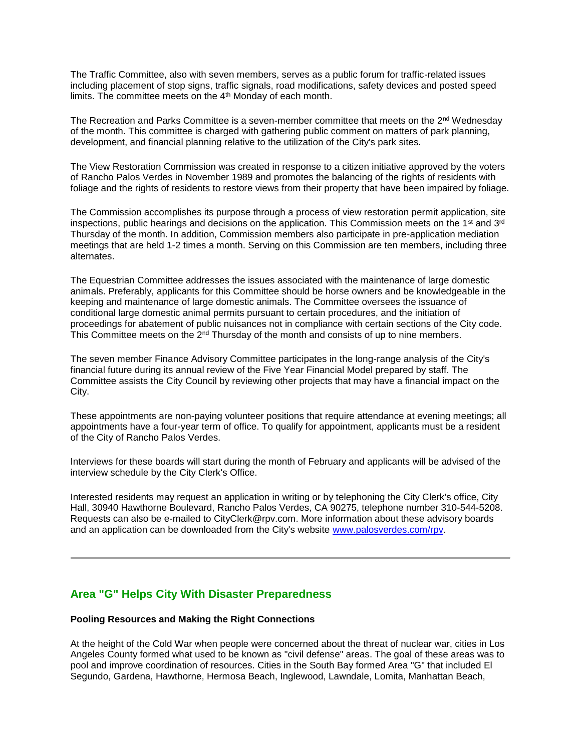The Traffic Committee, also with seven members, serves as a public forum for traffic-related issues including placement of stop signs, traffic signals, road modifications, safety devices and posted speed limits. The committee meets on the 4<sup>th</sup> Monday of each month.

The Recreation and Parks Committee is a seven-member committee that meets on the  $2<sup>nd</sup>$  Wednesday of the month. This committee is charged with gathering public comment on matters of park planning, development, and financial planning relative to the utilization of the City's park sites.

The View Restoration Commission was created in response to a citizen initiative approved by the voters of Rancho Palos Verdes in November 1989 and promotes the balancing of the rights of residents with foliage and the rights of residents to restore views from their property that have been impaired by foliage.

The Commission accomplishes its purpose through a process of view restoration permit application, site inspections, public hearings and decisions on the application. This Commission meets on the 1<sup>st</sup> and 3<sup>rd</sup> Thursday of the month. In addition, Commission members also participate in pre-application mediation meetings that are held 1-2 times a month. Serving on this Commission are ten members, including three alternates.

The Equestrian Committee addresses the issues associated with the maintenance of large domestic animals. Preferably, applicants for this Committee should be horse owners and be knowledgeable in the keeping and maintenance of large domestic animals. The Committee oversees the issuance of conditional large domestic animal permits pursuant to certain procedures, and the initiation of proceedings for abatement of public nuisances not in compliance with certain sections of the City code. This Committee meets on the  $2<sup>nd</sup>$  Thursday of the month and consists of up to nine members.

The seven member Finance Advisory Committee participates in the long-range analysis of the City's financial future during its annual review of the Five Year Financial Model prepared by staff. The Committee assists the City Council by reviewing other projects that may have a financial impact on the City.

These appointments are non-paying volunteer positions that require attendance at evening meetings; all appointments have a four-year term of office. To qualify for appointment, applicants must be a resident of the City of Rancho Palos Verdes.

Interviews for these boards will start during the month of February and applicants will be advised of the interview schedule by the City Clerk's Office.

Interested residents may request an application in writing or by telephoning the City Clerk's office, City Hall, 30940 Hawthorne Boulevard, Rancho Palos Verdes, CA 90275, telephone number 310-544-5208. Requests can also be e-mailed to CityClerk@rpv.com. More information about these advisory boards and an application can be downloaded from the City's website www.palosverdes.com/rpv.

## **Area "G" Helps City With Disaster Preparedness**

### **Pooling Resources and Making the Right Connections**

At the height of the Cold War when people were concerned about the threat of nuclear war, cities in Los Angeles County formed what used to be known as "civil defense" areas. The goal of these areas was to pool and improve coordination of resources. Cities in the South Bay formed Area "G" that included El Segundo, Gardena, Hawthorne, Hermosa Beach, Inglewood, Lawndale, Lomita, Manhattan Beach,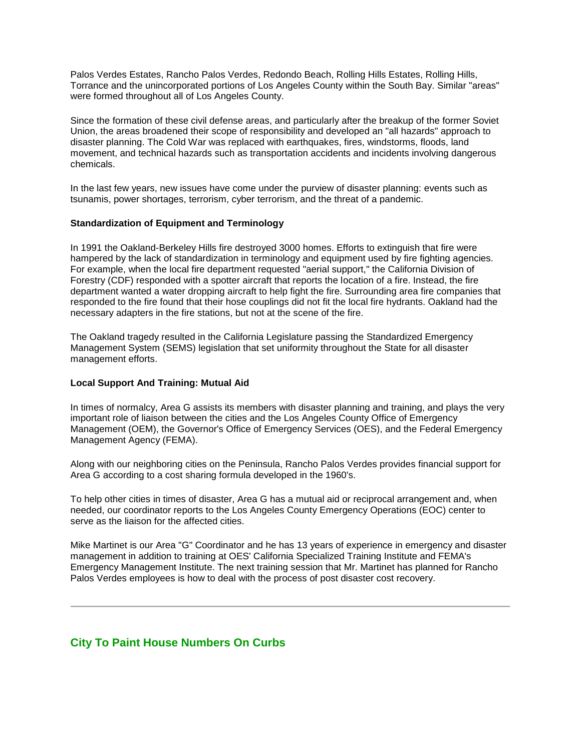Palos Verdes Estates, Rancho Palos Verdes, Redondo Beach, Rolling Hills Estates, Rolling Hills, Torrance and the unincorporated portions of Los Angeles County within the South Bay. Similar "areas" were formed throughout all of Los Angeles County.

Since the formation of these civil defense areas, and particularly after the breakup of the former Soviet Union, the areas broadened their scope of responsibility and developed an "all hazards" approach to disaster planning. The Cold War was replaced with earthquakes, fires, windstorms, floods, land movement, and technical hazards such as transportation accidents and incidents involving dangerous chemicals.

In the last few years, new issues have come under the purview of disaster planning: events such as tsunamis, power shortages, terrorism, cyber terrorism, and the threat of a pandemic.

### **Standardization of Equipment and Terminology**

In 1991 the Oakland-Berkeley Hills fire destroyed 3000 homes. Efforts to extinguish that fire were hampered by the lack of standardization in terminology and equipment used by fire fighting agencies. For example, when the local fire department requested "aerial support," the California Division of Forestry (CDF) responded with a spotter aircraft that reports the location of a fire. Instead, the fire department wanted a water dropping aircraft to help fight the fire. Surrounding area fire companies that responded to the fire found that their hose couplings did not fit the local fire hydrants. Oakland had the necessary adapters in the fire stations, but not at the scene of the fire.

The Oakland tragedy resulted in the California Legislature passing the Standardized Emergency Management System (SEMS) legislation that set uniformity throughout the State for all disaster management efforts.

#### **Local Support And Training: Mutual Aid**

In times of normalcy, Area G assists its members with disaster planning and training, and plays the very important role of liaison between the cities and the Los Angeles County Office of Emergency Management (OEM), the Governor's Office of Emergency Services (OES), and the Federal Emergency Management Agency (FEMA).

Along with our neighboring cities on the Peninsula, Rancho Palos Verdes provides financial support for Area G according to a cost sharing formula developed in the 1960's.

To help other cities in times of disaster, Area G has a mutual aid or reciprocal arrangement and, when needed, our coordinator reports to the Los Angeles County Emergency Operations (EOC) center to serve as the liaison for the affected cities.

Mike Martinet is our Area "G" Coordinator and he has 13 years of experience in emergency and disaster management in addition to training at OES' California Specialized Training Institute and FEMA's Emergency Management Institute. The next training session that Mr. Martinet has planned for Rancho Palos Verdes employees is how to deal with the process of post disaster cost recovery.

### **City To Paint House Numbers On Curbs**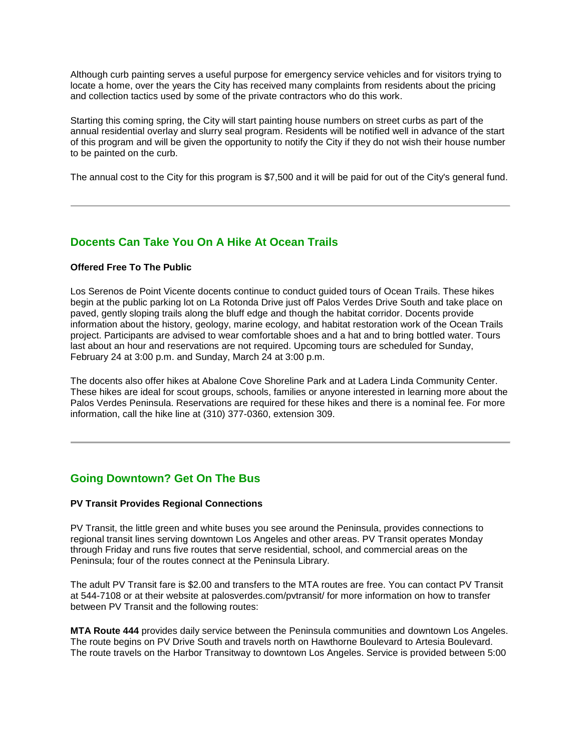Although curb painting serves a useful purpose for emergency service vehicles and for visitors trying to locate a home, over the years the City has received many complaints from residents about the pricing and collection tactics used by some of the private contractors who do this work.

Starting this coming spring, the City will start painting house numbers on street curbs as part of the annual residential overlay and slurry seal program. Residents will be notified well in advance of the start of this program and will be given the opportunity to notify the City if they do not wish their house number to be painted on the curb.

The annual cost to the City for this program is \$7,500 and it will be paid for out of the City's general fund.

## **Docents Can Take You On A Hike At Ocean Trails**

### **Offered Free To The Public**

Los Serenos de Point Vicente docents continue to conduct guided tours of Ocean Trails. These hikes begin at the public parking lot on La Rotonda Drive just off Palos Verdes Drive South and take place on paved, gently sloping trails along the bluff edge and though the habitat corridor. Docents provide information about the history, geology, marine ecology, and habitat restoration work of the Ocean Trails project. Participants are advised to wear comfortable shoes and a hat and to bring bottled water. Tours last about an hour and reservations are not required. Upcoming tours are scheduled for Sunday, February 24 at 3:00 p.m. and Sunday, March 24 at 3:00 p.m.

The docents also offer hikes at Abalone Cove Shoreline Park and at Ladera Linda Community Center. These hikes are ideal for scout groups, schools, families or anyone interested in learning more about the Palos Verdes Peninsula. Reservations are required for these hikes and there is a nominal fee. For more information, call the hike line at (310) 377-0360, extension 309.

## **Going Downtown? Get On The Bus**

### **PV Transit Provides Regional Connections**

PV Transit, the little green and white buses you see around the Peninsula, provides connections to regional transit lines serving downtown Los Angeles and other areas. PV Transit operates Monday through Friday and runs five routes that serve residential, school, and commercial areas on the Peninsula; four of the routes connect at the Peninsula Library.

The adult PV Transit fare is \$2.00 and transfers to the MTA routes are free. You can contact PV Transit at 544-7108 or at their website at palosverdes.com/pvtransit/ for more information on how to transfer between PV Transit and the following routes:

**MTA Route 444** provides daily service between the Peninsula communities and downtown Los Angeles. The route begins on PV Drive South and travels north on Hawthorne Boulevard to Artesia Boulevard. The route travels on the Harbor Transitway to downtown Los Angeles. Service is provided between 5:00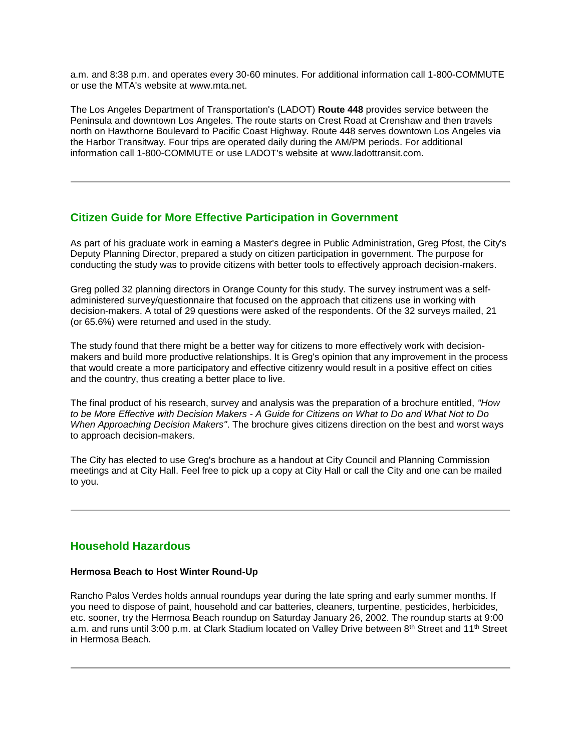a.m. and 8:38 p.m. and operates every 30-60 minutes. For additional information call 1-800-COMMUTE or use the MTA's website at www.mta.net.

The Los Angeles Department of Transportation's (LADOT) **Route 448** provides service between the Peninsula and downtown Los Angeles. The route starts on Crest Road at Crenshaw and then travels north on Hawthorne Boulevard to Pacific Coast Highway. Route 448 serves downtown Los Angeles via the Harbor Transitway. Four trips are operated daily during the AM/PM periods. For additional information call 1-800-COMMUTE or use LADOT's website at www.ladottransit.com.

## **Citizen Guide for More Effective Participation in Government**

As part of his graduate work in earning a Master's degree in Public Administration, Greg Pfost, the City's Deputy Planning Director, prepared a study on citizen participation in government. The purpose for conducting the study was to provide citizens with better tools to effectively approach decision-makers.

Greg polled 32 planning directors in Orange County for this study. The survey instrument was a selfadministered survey/questionnaire that focused on the approach that citizens use in working with decision-makers. A total of 29 questions were asked of the respondents. Of the 32 surveys mailed, 21 (or 65.6%) were returned and used in the study.

The study found that there might be a better way for citizens to more effectively work with decisionmakers and build more productive relationships. It is Greg's opinion that any improvement in the process that would create a more participatory and effective citizenry would result in a positive effect on cities and the country, thus creating a better place to live.

The final product of his research, survey and analysis was the preparation of a brochure entitled, *"How to be More Effective with Decision Makers - A Guide for Citizens on What to Do and What Not to Do When Approaching Decision Makers"*. The brochure gives citizens direction on the best and worst ways to approach decision-makers.

The City has elected to use Greg's brochure as a handout at City Council and Planning Commission meetings and at City Hall. Feel free to pick up a copy at City Hall or call the City and one can be mailed to you.

## **Household Hazardous**

### **Hermosa Beach to Host Winter Round-Up**

Rancho Palos Verdes holds annual roundups year during the late spring and early summer months. If you need to dispose of paint, household and car batteries, cleaners, turpentine, pesticides, herbicides, etc. sooner, try the Hermosa Beach roundup on Saturday January 26, 2002. The roundup starts at 9:00 a.m. and runs until 3:00 p.m. at Clark Stadium located on Valley Drive between 8<sup>th</sup> Street and 11<sup>th</sup> Street in Hermosa Beach.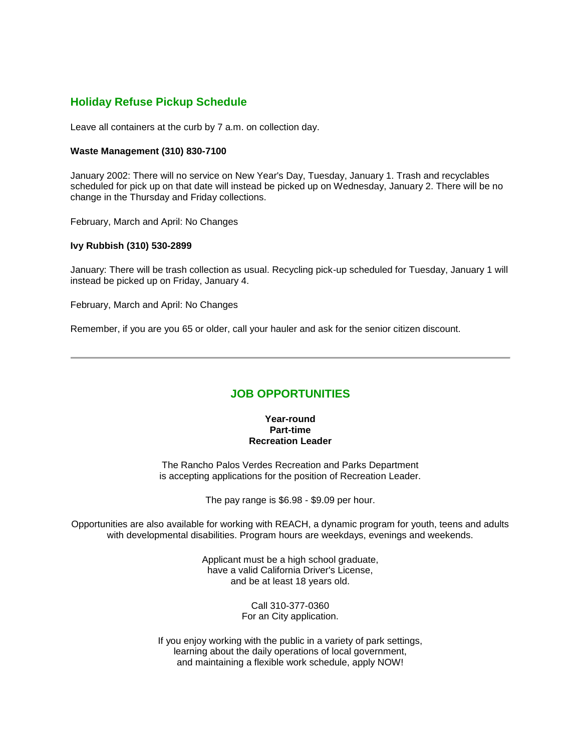## **Holiday Refuse Pickup Schedule**

Leave all containers at the curb by 7 a.m. on collection day.

### **Waste Management (310) 830-7100**

January 2002: There will no service on New Year's Day, Tuesday, January 1. Trash and recyclables scheduled for pick up on that date will instead be picked up on Wednesday, January 2. There will be no change in the Thursday and Friday collections.

February, March and April: No Changes

### **Ivy Rubbish (310) 530-2899**

January: There will be trash collection as usual. Recycling pick-up scheduled for Tuesday, January 1 will instead be picked up on Friday, January 4.

February, March and April: No Changes

Remember, if you are you 65 or older, call your hauler and ask for the senior citizen discount.

### **JOB OPPORTUNITIES**

#### **Year-round Part-time Recreation Leader**

The Rancho Palos Verdes Recreation and Parks Department is accepting applications for the position of Recreation Leader.

The pay range is \$6.98 - \$9.09 per hour.

Opportunities are also available for working with REACH, a dynamic program for youth, teens and adults with developmental disabilities. Program hours are weekdays, evenings and weekends.

> Applicant must be a high school graduate, have a valid California Driver's License, and be at least 18 years old.

> > Call 310-377-0360 For an City application.

If you enjoy working with the public in a variety of park settings, learning about the daily operations of local government, and maintaining a flexible work schedule, apply NOW!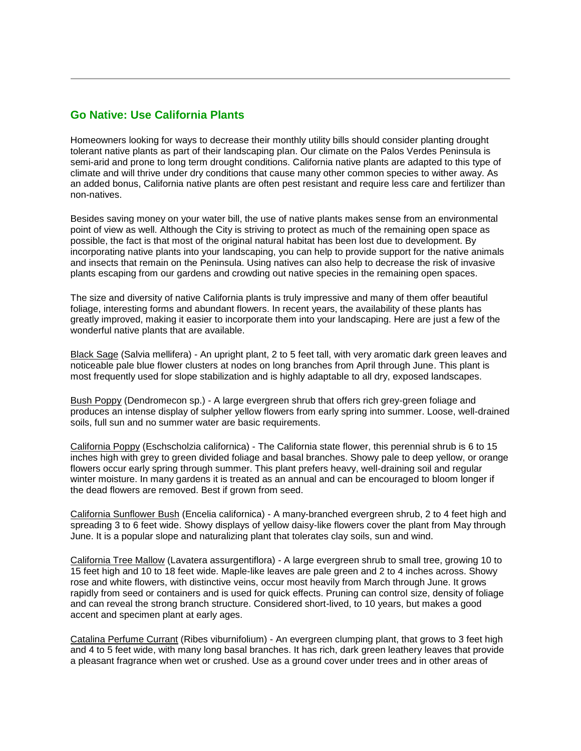## **Go Native: Use California Plants**

Homeowners looking for ways to decrease their monthly utility bills should consider planting drought tolerant native plants as part of their landscaping plan. Our climate on the Palos Verdes Peninsula is semi-arid and prone to long term drought conditions. California native plants are adapted to this type of climate and will thrive under dry conditions that cause many other common species to wither away. As an added bonus, California native plants are often pest resistant and require less care and fertilizer than non-natives.

Besides saving money on your water bill, the use of native plants makes sense from an environmental point of view as well. Although the City is striving to protect as much of the remaining open space as possible, the fact is that most of the original natural habitat has been lost due to development. By incorporating native plants into your landscaping, you can help to provide support for the native animals and insects that remain on the Peninsula. Using natives can also help to decrease the risk of invasive plants escaping from our gardens and crowding out native species in the remaining open spaces.

The size and diversity of native California plants is truly impressive and many of them offer beautiful foliage, interesting forms and abundant flowers. In recent years, the availability of these plants has greatly improved, making it easier to incorporate them into your landscaping. Here are just a few of the wonderful native plants that are available.

Black Sage (Salvia mellifera) - An upright plant, 2 to 5 feet tall, with very aromatic dark green leaves and noticeable pale blue flower clusters at nodes on long branches from April through June. This plant is most frequently used for slope stabilization and is highly adaptable to all dry, exposed landscapes.

Bush Poppy (Dendromecon sp.) - A large evergreen shrub that offers rich grey-green foliage and produces an intense display of sulpher yellow flowers from early spring into summer. Loose, well-drained soils, full sun and no summer water are basic requirements.

California Poppy (Eschscholzia californica) - The California state flower, this perennial shrub is 6 to 15 inches high with grey to green divided foliage and basal branches. Showy pale to deep yellow, or orange flowers occur early spring through summer. This plant prefers heavy, well-draining soil and regular winter moisture. In many gardens it is treated as an annual and can be encouraged to bloom longer if the dead flowers are removed. Best if grown from seed.

California Sunflower Bush (Encelia californica) - A many-branched evergreen shrub, 2 to 4 feet high and spreading 3 to 6 feet wide. Showy displays of yellow daisy-like flowers cover the plant from May through June. It is a popular slope and naturalizing plant that tolerates clay soils, sun and wind.

California Tree Mallow (Lavatera assurgentiflora) - A large evergreen shrub to small tree, growing 10 to 15 feet high and 10 to 18 feet wide. Maple-like leaves are pale green and 2 to 4 inches across. Showy rose and white flowers, with distinctive veins, occur most heavily from March through June. It grows rapidly from seed or containers and is used for quick effects. Pruning can control size, density of foliage and can reveal the strong branch structure. Considered short-lived, to 10 years, but makes a good accent and specimen plant at early ages.

Catalina Perfume Currant (Ribes viburnifolium) - An evergreen clumping plant, that grows to 3 feet high and 4 to 5 feet wide, with many long basal branches. It has rich, dark green leathery leaves that provide a pleasant fragrance when wet or crushed. Use as a ground cover under trees and in other areas of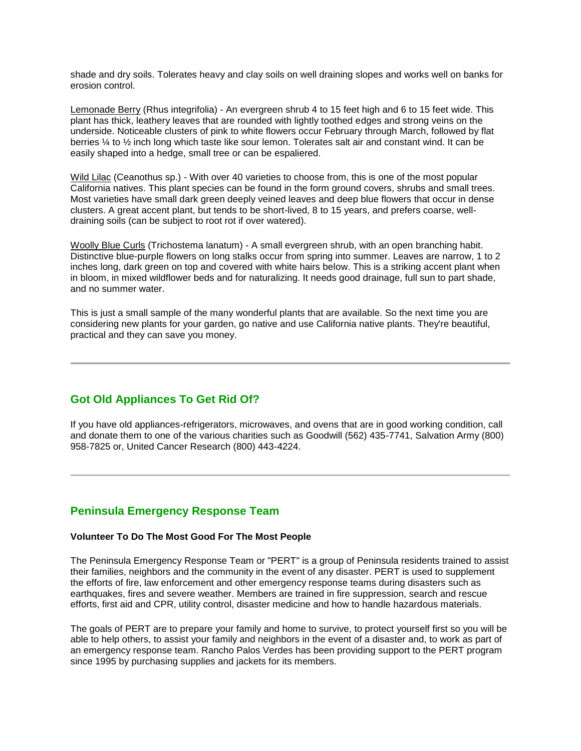shade and dry soils. Tolerates heavy and clay soils on well draining slopes and works well on banks for erosion control.

Lemonade Berry (Rhus integrifolia) - An evergreen shrub 4 to 15 feet high and 6 to 15 feet wide. This plant has thick, leathery leaves that are rounded with lightly toothed edges and strong veins on the underside. Noticeable clusters of pink to white flowers occur February through March, followed by flat berries ¼ to ½ inch long which taste like sour lemon. Tolerates salt air and constant wind. It can be easily shaped into a hedge, small tree or can be espaliered.

Wild Lilac (Ceanothus sp.) - With over 40 varieties to choose from, this is one of the most popular California natives. This plant species can be found in the form ground covers, shrubs and small trees. Most varieties have small dark green deeply veined leaves and deep blue flowers that occur in dense clusters. A great accent plant, but tends to be short-lived, 8 to 15 years, and prefers coarse, welldraining soils (can be subject to root rot if over watered).

Woolly Blue Curls (Trichostema lanatum) - A small evergreen shrub, with an open branching habit. Distinctive blue-purple flowers on long stalks occur from spring into summer. Leaves are narrow, 1 to 2 inches long, dark green on top and covered with white hairs below. This is a striking accent plant when in bloom, in mixed wildflower beds and for naturalizing. It needs good drainage, full sun to part shade, and no summer water.

This is just a small sample of the many wonderful plants that are available. So the next time you are considering new plants for your garden, go native and use California native plants. They're beautiful, practical and they can save you money.

## **Got Old Appliances To Get Rid Of?**

If you have old appliances-refrigerators, microwaves, and ovens that are in good working condition, call and donate them to one of the various charities such as Goodwill (562) 435-7741, Salvation Army (800) 958-7825 or, United Cancer Research (800) 443-4224.

### **Peninsula Emergency Response Team**

### **Volunteer To Do The Most Good For The Most People**

The Peninsula Emergency Response Team or "PERT" is a group of Peninsula residents trained to assist their families, neighbors and the community in the event of any disaster. PERT is used to supplement the efforts of fire, law enforcement and other emergency response teams during disasters such as earthquakes, fires and severe weather. Members are trained in fire suppression, search and rescue efforts, first aid and CPR, utility control, disaster medicine and how to handle hazardous materials.

The goals of PERT are to prepare your family and home to survive, to protect yourself first so you will be able to help others, to assist your family and neighbors in the event of a disaster and, to work as part of an emergency response team. Rancho Palos Verdes has been providing support to the PERT program since 1995 by purchasing supplies and jackets for its members.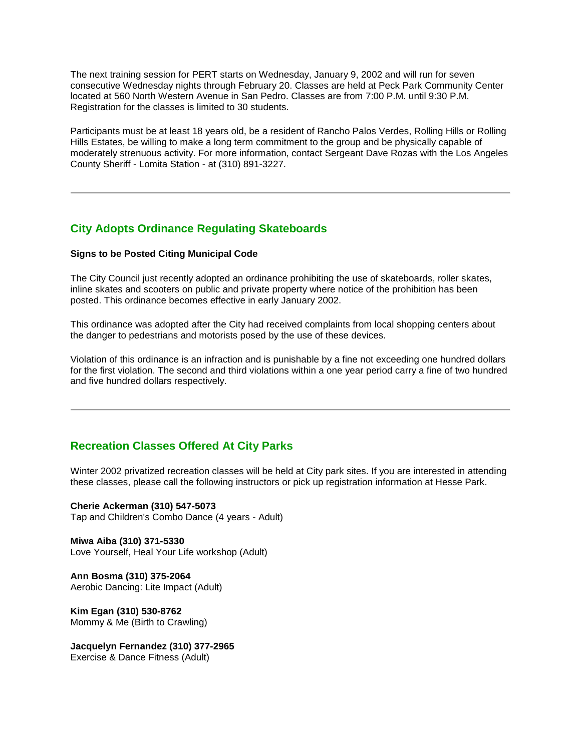The next training session for PERT starts on Wednesday, January 9, 2002 and will run for seven consecutive Wednesday nights through February 20. Classes are held at Peck Park Community Center located at 560 North Western Avenue in San Pedro. Classes are from 7:00 P.M. until 9:30 P.M. Registration for the classes is limited to 30 students.

Participants must be at least 18 years old, be a resident of Rancho Palos Verdes, Rolling Hills or Rolling Hills Estates, be willing to make a long term commitment to the group and be physically capable of moderately strenuous activity. For more information, contact Sergeant Dave Rozas with the Los Angeles County Sheriff - Lomita Station - at (310) 891-3227.

## **City Adopts Ordinance Regulating Skateboards**

### **Signs to be Posted Citing Municipal Code**

The City Council just recently adopted an ordinance prohibiting the use of skateboards, roller skates, inline skates and scooters on public and private property where notice of the prohibition has been posted. This ordinance becomes effective in early January 2002.

This ordinance was adopted after the City had received complaints from local shopping centers about the danger to pedestrians and motorists posed by the use of these devices.

Violation of this ordinance is an infraction and is punishable by a fine not exceeding one hundred dollars for the first violation. The second and third violations within a one year period carry a fine of two hundred and five hundred dollars respectively.

## **Recreation Classes Offered At City Parks**

Winter 2002 privatized recreation classes will be held at City park sites. If you are interested in attending these classes, please call the following instructors or pick up registration information at Hesse Park.

**Cherie Ackerman (310) 547-5073** Tap and Children's Combo Dance (4 years - Adult)

**Miwa Aiba (310) 371-5330** Love Yourself, Heal Your Life workshop (Adult)

**Ann Bosma (310) 375-2064** Aerobic Dancing: Lite Impact (Adult)

**Kim Egan (310) 530-8762** Mommy & Me (Birth to Crawling)

**Jacquelyn Fernandez (310) 377-2965**  Exercise & Dance Fitness (Adult)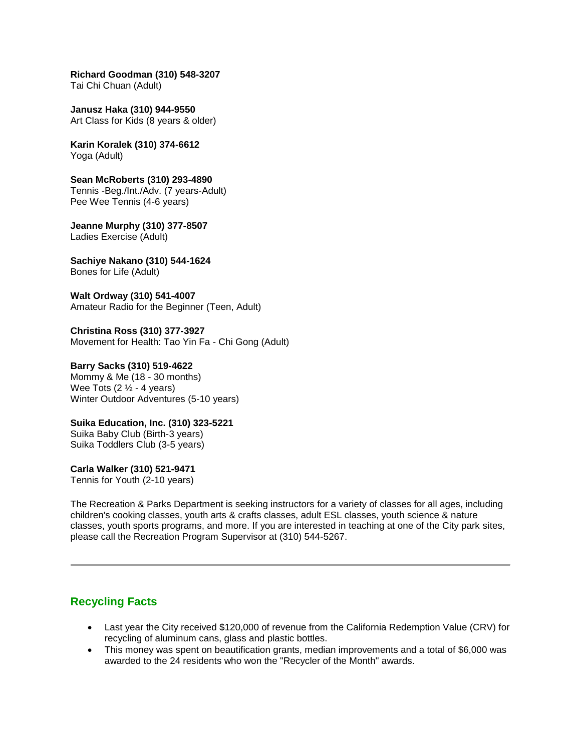**Richard Goodman (310) 548-3207** Tai Chi Chuan (Adult)

**Janusz Haka (310) 944-9550** Art Class for Kids (8 years & older)

**Karin Koralek (310) 374-6612** Yoga (Adult)

**Sean McRoberts (310) 293-4890** Tennis -Beg./Int./Adv. (7 years-Adult) Pee Wee Tennis (4-6 years)

**Jeanne Murphy (310) 377-8507**  Ladies Exercise (Adult)

**Sachiye Nakano (310) 544-1624**  Bones for Life (Adult)

**Walt Ordway (310) 541-4007** Amateur Radio for the Beginner (Teen, Adult)

**Christina Ross (310) 377-3927** Movement for Health: Tao Yin Fa - Chi Gong (Adult)

**Barry Sacks (310) 519-4622** Mommy & Me (18 - 30 months) Wee Tots  $(2  $\frac{1}{2}$  - 4 years)$ Winter Outdoor Adventures (5-10 years)

**Suika Education, Inc. (310) 323-5221** Suika Baby Club (Birth-3 years) Suika Toddlers Club (3-5 years)

**Carla Walker (310) 521-9471** Tennis for Youth (2-10 years)

The Recreation & Parks Department is seeking instructors for a variety of classes for all ages, including children's cooking classes, youth arts & crafts classes, adult ESL classes, youth science & nature classes, youth sports programs, and more. If you are interested in teaching at one of the City park sites, please call the Recreation Program Supervisor at (310) 544-5267.

## **Recycling Facts**

- Last year the City received \$120,000 of revenue from the California Redemption Value (CRV) for recycling of aluminum cans, glass and plastic bottles.
- This money was spent on beautification grants, median improvements and a total of \$6,000 was awarded to the 24 residents who won the "Recycler of the Month" awards.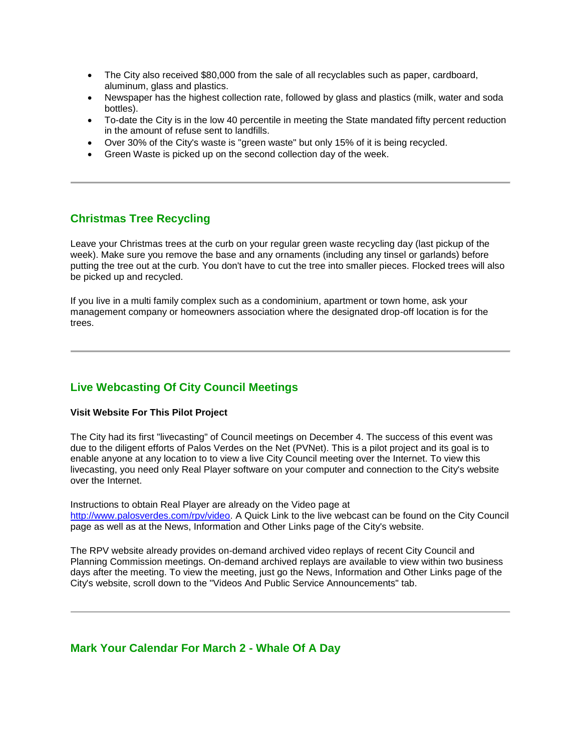- The City also received \$80,000 from the sale of all recyclables such as paper, cardboard, aluminum, glass and plastics.
- Newspaper has the highest collection rate, followed by glass and plastics (milk, water and soda bottles).
- To-date the City is in the low 40 percentile in meeting the State mandated fifty percent reduction in the amount of refuse sent to landfills.
- Over 30% of the City's waste is "green waste" but only 15% of it is being recycled.
- Green Waste is picked up on the second collection day of the week.

## **Christmas Tree Recycling**

Leave your Christmas trees at the curb on your regular green waste recycling day (last pickup of the week). Make sure you remove the base and any ornaments (including any tinsel or garlands) before putting the tree out at the curb. You don't have to cut the tree into smaller pieces. Flocked trees will also be picked up and recycled.

If you live in a multi family complex such as a condominium, apartment or town home, ask your management company or homeowners association where the designated drop-off location is for the trees.

## **Live Webcasting Of City Council Meetings**

### **Visit Website For This Pilot Project**

The City had its first "livecasting" of Council meetings on December 4. The success of this event was due to the diligent efforts of Palos Verdes on the Net (PVNet). This is a pilot project and its goal is to enable anyone at any location to to view a live City Council meeting over the Internet. To view this livecasting, you need only Real Player software on your computer and connection to the City's website over the Internet.

Instructions to obtain Real Player are already on the Video page at http://www.palosverdes.com/rpv/video. A Quick Link to the live webcast can be found on the City Council page as well as at the News, Information and Other Links page of the City's website.

The RPV website already provides on-demand archived video replays of recent City Council and Planning Commission meetings. On-demand archived replays are available to view within two business days after the meeting. To view the meeting, just go the News, Information and Other Links page of the City's website, scroll down to the "Videos And Public Service Announcements" tab.

### **Mark Your Calendar For March 2 - Whale Of A Day**